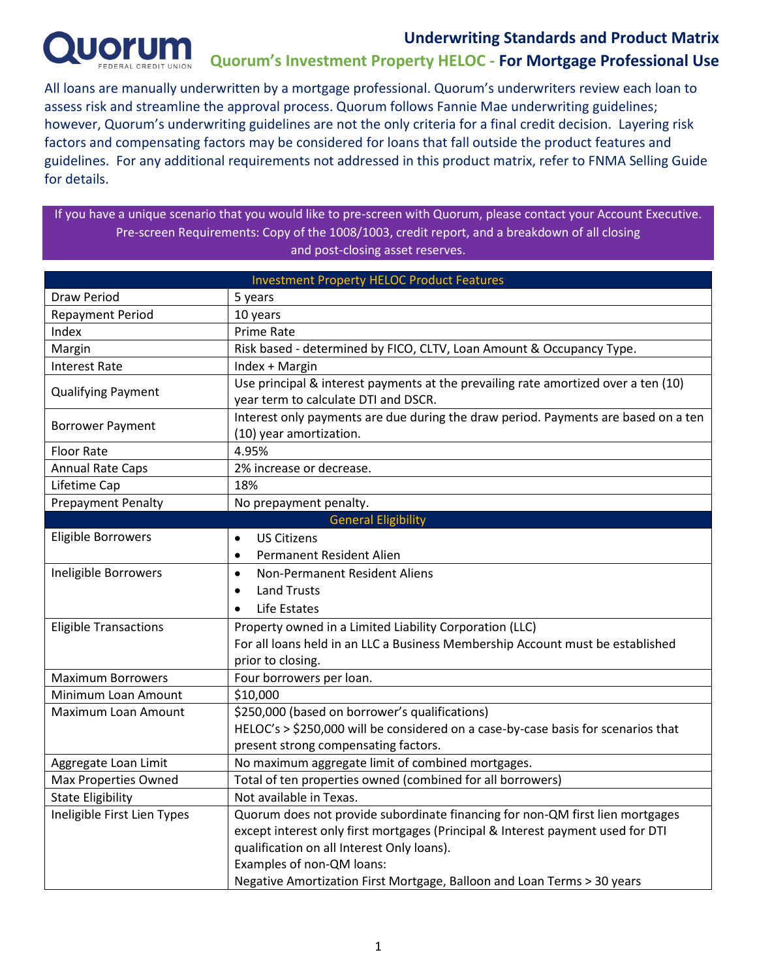

#### **Underwriting Standards and Product Matrix Quorum's Investment Property HELOC - For Mortgage Professional Use**

All loans are manually underwritten by a mortgage professional. Quorum's underwriters review each loan to assess risk and streamline the approval process. Quorum follows Fannie Mae underwriting guidelines; however, Quorum's underwriting guidelines are not the only criteria for a final credit decision. Layering risk factors and compensating factors may be considered for loans that fall outside the product features and guidelines. For any additional requirements not addressed in this product matrix, refer to FNMA Selling Guide for details.

If you have a unique scenario that you would like to pre-screen with Quorum, please contact your Account Executive. Pre-screen Requirements: Copy of the 1008/1003, credit report, and a breakdown of all closing and post-closing asset reserves.

| <b>Investment Property HELOC Product Features</b> |                                                                                    |  |  |  |  |  |
|---------------------------------------------------|------------------------------------------------------------------------------------|--|--|--|--|--|
| <b>Draw Period</b>                                | 5 years                                                                            |  |  |  |  |  |
| <b>Repayment Period</b>                           | 10 years                                                                           |  |  |  |  |  |
| Index                                             | <b>Prime Rate</b>                                                                  |  |  |  |  |  |
| Margin                                            | Risk based - determined by FICO, CLTV, Loan Amount & Occupancy Type.               |  |  |  |  |  |
| <b>Interest Rate</b>                              | Index + Margin                                                                     |  |  |  |  |  |
| <b>Qualifying Payment</b>                         | Use principal & interest payments at the prevailing rate amortized over a ten (10) |  |  |  |  |  |
|                                                   | year term to calculate DTI and DSCR.                                               |  |  |  |  |  |
| <b>Borrower Payment</b>                           | Interest only payments are due during the draw period. Payments are based on a ten |  |  |  |  |  |
|                                                   | (10) year amortization.                                                            |  |  |  |  |  |
| <b>Floor Rate</b>                                 | 4.95%                                                                              |  |  |  |  |  |
| <b>Annual Rate Caps</b>                           | 2% increase or decrease.                                                           |  |  |  |  |  |
| Lifetime Cap                                      | 18%                                                                                |  |  |  |  |  |
| <b>Prepayment Penalty</b>                         | No prepayment penalty.                                                             |  |  |  |  |  |
|                                                   | <b>General Eligibility</b>                                                         |  |  |  |  |  |
| Eligible Borrowers                                | <b>US Citizens</b><br>$\bullet$                                                    |  |  |  |  |  |
|                                                   | <b>Permanent Resident Alien</b><br>$\bullet$                                       |  |  |  |  |  |
| Ineligible Borrowers                              | Non-Permanent Resident Aliens<br>$\bullet$                                         |  |  |  |  |  |
|                                                   | <b>Land Trusts</b><br>$\bullet$                                                    |  |  |  |  |  |
|                                                   | Life Estates<br>$\bullet$                                                          |  |  |  |  |  |
| <b>Eligible Transactions</b>                      | Property owned in a Limited Liability Corporation (LLC)                            |  |  |  |  |  |
|                                                   | For all loans held in an LLC a Business Membership Account must be established     |  |  |  |  |  |
|                                                   | prior to closing.                                                                  |  |  |  |  |  |
| <b>Maximum Borrowers</b>                          | Four borrowers per loan.                                                           |  |  |  |  |  |
| Minimum Loan Amount                               | \$10,000                                                                           |  |  |  |  |  |
| Maximum Loan Amount                               | \$250,000 (based on borrower's qualifications)                                     |  |  |  |  |  |
|                                                   | HELOC's > \$250,000 will be considered on a case-by-case basis for scenarios that  |  |  |  |  |  |
|                                                   | present strong compensating factors.                                               |  |  |  |  |  |
| Aggregate Loan Limit                              | No maximum aggregate limit of combined mortgages.                                  |  |  |  |  |  |
| Max Properties Owned                              | Total of ten properties owned (combined for all borrowers)                         |  |  |  |  |  |
| <b>State Eligibility</b>                          | Not available in Texas.                                                            |  |  |  |  |  |
| Ineligible First Lien Types                       | Quorum does not provide subordinate financing for non-QM first lien mortgages      |  |  |  |  |  |
|                                                   | except interest only first mortgages (Principal & Interest payment used for DTI    |  |  |  |  |  |
|                                                   | qualification on all Interest Only loans).                                         |  |  |  |  |  |
|                                                   | Examples of non-QM loans:                                                          |  |  |  |  |  |
|                                                   | Negative Amortization First Mortgage, Balloon and Loan Terms > 30 years            |  |  |  |  |  |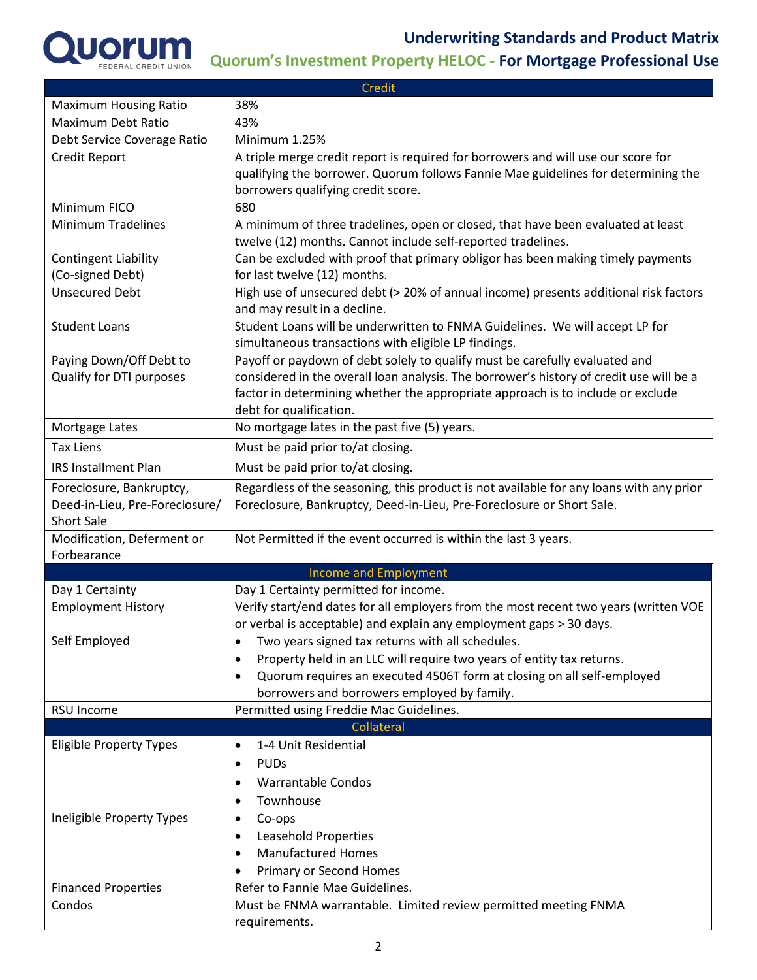

| Credit                         |                                                                                                                                                             |  |  |  |  |  |
|--------------------------------|-------------------------------------------------------------------------------------------------------------------------------------------------------------|--|--|--|--|--|
| <b>Maximum Housing Ratio</b>   | 38%                                                                                                                                                         |  |  |  |  |  |
| Maximum Debt Ratio             | 43%                                                                                                                                                         |  |  |  |  |  |
| Debt Service Coverage Ratio    | Minimum 1.25%                                                                                                                                               |  |  |  |  |  |
| <b>Credit Report</b>           | A triple merge credit report is required for borrowers and will use our score for                                                                           |  |  |  |  |  |
|                                | qualifying the borrower. Quorum follows Fannie Mae guidelines for determining the                                                                           |  |  |  |  |  |
|                                | borrowers qualifying credit score.                                                                                                                          |  |  |  |  |  |
| Minimum FICO                   | 680                                                                                                                                                         |  |  |  |  |  |
| <b>Minimum Tradelines</b>      | A minimum of three tradelines, open or closed, that have been evaluated at least<br>twelve (12) months. Cannot include self-reported tradelines.            |  |  |  |  |  |
| <b>Contingent Liability</b>    | Can be excluded with proof that primary obligor has been making timely payments                                                                             |  |  |  |  |  |
| (Co-signed Debt)               | for last twelve (12) months.                                                                                                                                |  |  |  |  |  |
| <b>Unsecured Debt</b>          | High use of unsecured debt (> 20% of annual income) presents additional risk factors<br>and may result in a decline.                                        |  |  |  |  |  |
| <b>Student Loans</b>           | Student Loans will be underwritten to FNMA Guidelines. We will accept LP for                                                                                |  |  |  |  |  |
|                                | simultaneous transactions with eligible LP findings.                                                                                                        |  |  |  |  |  |
| Paying Down/Off Debt to        | Payoff or paydown of debt solely to qualify must be carefully evaluated and                                                                                 |  |  |  |  |  |
| Qualify for DTI purposes       | considered in the overall loan analysis. The borrower's history of credit use will be a                                                                     |  |  |  |  |  |
|                                | factor in determining whether the appropriate approach is to include or exclude                                                                             |  |  |  |  |  |
|                                | debt for qualification.                                                                                                                                     |  |  |  |  |  |
| Mortgage Lates                 | No mortgage lates in the past five (5) years.                                                                                                               |  |  |  |  |  |
| <b>Tax Liens</b>               | Must be paid prior to/at closing.                                                                                                                           |  |  |  |  |  |
| <b>IRS Installment Plan</b>    | Must be paid prior to/at closing.                                                                                                                           |  |  |  |  |  |
| Foreclosure, Bankruptcy,       | Regardless of the seasoning, this product is not available for any loans with any prior                                                                     |  |  |  |  |  |
| Deed-in-Lieu, Pre-Foreclosure/ | Foreclosure, Bankruptcy, Deed-in-Lieu, Pre-Foreclosure or Short Sale.                                                                                       |  |  |  |  |  |
| <b>Short Sale</b>              |                                                                                                                                                             |  |  |  |  |  |
| Modification, Deferment or     | Not Permitted if the event occurred is within the last 3 years.                                                                                             |  |  |  |  |  |
| Forbearance                    |                                                                                                                                                             |  |  |  |  |  |
|                                | <b>Income and Employment</b>                                                                                                                                |  |  |  |  |  |
| Day 1 Certainty                | Day 1 Certainty permitted for income.                                                                                                                       |  |  |  |  |  |
| <b>Employment History</b>      | Verify start/end dates for all employers from the most recent two years (written VOE<br>or verbal is acceptable) and explain any employment gaps > 30 days. |  |  |  |  |  |
| Self Employed                  |                                                                                                                                                             |  |  |  |  |  |
|                                | Two years signed tax returns with all schedules.<br>٠<br>Property held in an LLC will require two years of entity tax returns.<br>٠                         |  |  |  |  |  |
|                                | Quorum requires an executed 4506T form at closing on all self-employed<br>$\bullet$                                                                         |  |  |  |  |  |
|                                | borrowers and borrowers employed by family.                                                                                                                 |  |  |  |  |  |
| RSU Income                     | Permitted using Freddie Mac Guidelines.                                                                                                                     |  |  |  |  |  |
|                                | Collateral                                                                                                                                                  |  |  |  |  |  |
| <b>Eligible Property Types</b> | 1-4 Unit Residential<br>$\bullet$                                                                                                                           |  |  |  |  |  |
|                                | <b>PUDs</b><br>$\bullet$                                                                                                                                    |  |  |  |  |  |
|                                | <b>Warrantable Condos</b><br>$\bullet$                                                                                                                      |  |  |  |  |  |
|                                | Townhouse<br>$\bullet$                                                                                                                                      |  |  |  |  |  |
| Ineligible Property Types      | Co-ops<br>$\bullet$                                                                                                                                         |  |  |  |  |  |
|                                | Leasehold Properties<br>٠                                                                                                                                   |  |  |  |  |  |
|                                | <b>Manufactured Homes</b><br>$\bullet$                                                                                                                      |  |  |  |  |  |
|                                | Primary or Second Homes                                                                                                                                     |  |  |  |  |  |
| <b>Financed Properties</b>     | Refer to Fannie Mae Guidelines.                                                                                                                             |  |  |  |  |  |
| Condos                         | Must be FNMA warrantable. Limited review permitted meeting FNMA                                                                                             |  |  |  |  |  |
|                                | requirements.                                                                                                                                               |  |  |  |  |  |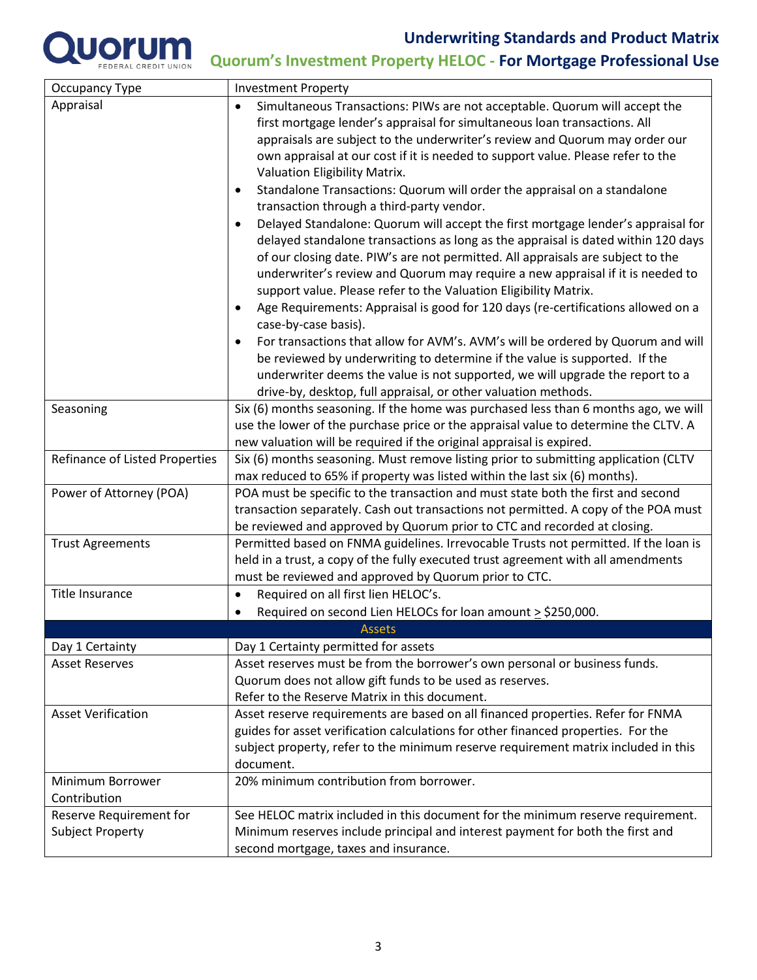

| Occupancy Type                 | <b>Investment Property</b>                                                                                                                                                                                                                                                                                                                                                                                                  |  |  |  |
|--------------------------------|-----------------------------------------------------------------------------------------------------------------------------------------------------------------------------------------------------------------------------------------------------------------------------------------------------------------------------------------------------------------------------------------------------------------------------|--|--|--|
| Appraisal                      | Simultaneous Transactions: PIWs are not acceptable. Quorum will accept the<br>$\bullet$                                                                                                                                                                                                                                                                                                                                     |  |  |  |
|                                | first mortgage lender's appraisal for simultaneous loan transactions. All                                                                                                                                                                                                                                                                                                                                                   |  |  |  |
|                                | appraisals are subject to the underwriter's review and Quorum may order our                                                                                                                                                                                                                                                                                                                                                 |  |  |  |
|                                | own appraisal at our cost if it is needed to support value. Please refer to the                                                                                                                                                                                                                                                                                                                                             |  |  |  |
|                                | Valuation Eligibility Matrix.                                                                                                                                                                                                                                                                                                                                                                                               |  |  |  |
|                                | Standalone Transactions: Quorum will order the appraisal on a standalone<br>$\bullet$                                                                                                                                                                                                                                                                                                                                       |  |  |  |
|                                | transaction through a third-party vendor.                                                                                                                                                                                                                                                                                                                                                                                   |  |  |  |
|                                | Delayed Standalone: Quorum will accept the first mortgage lender's appraisal for<br>$\bullet$<br>delayed standalone transactions as long as the appraisal is dated within 120 days<br>of our closing date. PIW's are not permitted. All appraisals are subject to the<br>underwriter's review and Quorum may require a new appraisal if it is needed to<br>support value. Please refer to the Valuation Eligibility Matrix. |  |  |  |
|                                | Age Requirements: Appraisal is good for 120 days (re-certifications allowed on a<br>٠<br>case-by-case basis).                                                                                                                                                                                                                                                                                                               |  |  |  |
|                                | For transactions that allow for AVM's. AVM's will be ordered by Quorum and will<br>$\bullet$<br>be reviewed by underwriting to determine if the value is supported. If the<br>underwriter deems the value is not supported, we will upgrade the report to a<br>drive-by, desktop, full appraisal, or other valuation methods.                                                                                               |  |  |  |
| Seasoning                      | Six (6) months seasoning. If the home was purchased less than 6 months ago, we will                                                                                                                                                                                                                                                                                                                                         |  |  |  |
|                                | use the lower of the purchase price or the appraisal value to determine the CLTV. A                                                                                                                                                                                                                                                                                                                                         |  |  |  |
|                                | new valuation will be required if the original appraisal is expired.                                                                                                                                                                                                                                                                                                                                                        |  |  |  |
| Refinance of Listed Properties | Six (6) months seasoning. Must remove listing prior to submitting application (CLTV                                                                                                                                                                                                                                                                                                                                         |  |  |  |
|                                | max reduced to 65% if property was listed within the last six (6) months).                                                                                                                                                                                                                                                                                                                                                  |  |  |  |
| Power of Attorney (POA)        | POA must be specific to the transaction and must state both the first and second                                                                                                                                                                                                                                                                                                                                            |  |  |  |
|                                | transaction separately. Cash out transactions not permitted. A copy of the POA must                                                                                                                                                                                                                                                                                                                                         |  |  |  |
|                                | be reviewed and approved by Quorum prior to CTC and recorded at closing.                                                                                                                                                                                                                                                                                                                                                    |  |  |  |
| <b>Trust Agreements</b>        | Permitted based on FNMA guidelines. Irrevocable Trusts not permitted. If the loan is                                                                                                                                                                                                                                                                                                                                        |  |  |  |
|                                | held in a trust, a copy of the fully executed trust agreement with all amendments                                                                                                                                                                                                                                                                                                                                           |  |  |  |
|                                | must be reviewed and approved by Quorum prior to CTC.                                                                                                                                                                                                                                                                                                                                                                       |  |  |  |
| <b>Title Insurance</b>         | Required on all first lien HELOC's.<br>$\bullet$                                                                                                                                                                                                                                                                                                                                                                            |  |  |  |
|                                | Required on second Lien HELOCs for loan amount $\geq$ \$250,000.                                                                                                                                                                                                                                                                                                                                                            |  |  |  |
|                                | <b>Assets</b>                                                                                                                                                                                                                                                                                                                                                                                                               |  |  |  |
| Day 1 Certainty                | Day 1 Certainty permitted for assets                                                                                                                                                                                                                                                                                                                                                                                        |  |  |  |
| <b>Asset Reserves</b>          | Asset reserves must be from the borrower's own personal or business funds.                                                                                                                                                                                                                                                                                                                                                  |  |  |  |
|                                | Quorum does not allow gift funds to be used as reserves.                                                                                                                                                                                                                                                                                                                                                                    |  |  |  |
|                                | Refer to the Reserve Matrix in this document.                                                                                                                                                                                                                                                                                                                                                                               |  |  |  |
| <b>Asset Verification</b>      | Asset reserve requirements are based on all financed properties. Refer for FNMA                                                                                                                                                                                                                                                                                                                                             |  |  |  |
|                                | guides for asset verification calculations for other financed properties. For the                                                                                                                                                                                                                                                                                                                                           |  |  |  |
|                                | subject property, refer to the minimum reserve requirement matrix included in this                                                                                                                                                                                                                                                                                                                                          |  |  |  |
|                                | document.                                                                                                                                                                                                                                                                                                                                                                                                                   |  |  |  |
| Minimum Borrower               | 20% minimum contribution from borrower.                                                                                                                                                                                                                                                                                                                                                                                     |  |  |  |
| Contribution                   |                                                                                                                                                                                                                                                                                                                                                                                                                             |  |  |  |
| Reserve Requirement for        | See HELOC matrix included in this document for the minimum reserve requirement.                                                                                                                                                                                                                                                                                                                                             |  |  |  |
| Subject Property               | Minimum reserves include principal and interest payment for both the first and                                                                                                                                                                                                                                                                                                                                              |  |  |  |
|                                | second mortgage, taxes and insurance.                                                                                                                                                                                                                                                                                                                                                                                       |  |  |  |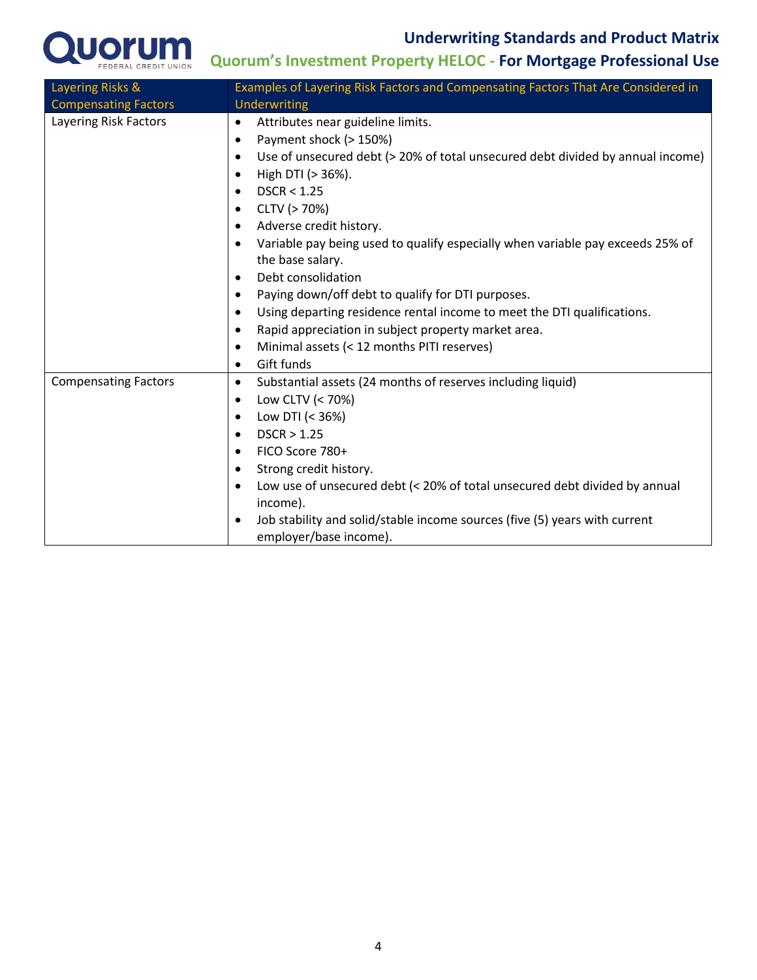

| Layering Risks &            | Examples of Layering Risk Factors and Compensating Factors That Are Considered in           |  |  |  |
|-----------------------------|---------------------------------------------------------------------------------------------|--|--|--|
| <b>Compensating Factors</b> | Underwriting                                                                                |  |  |  |
| Layering Risk Factors       | Attributes near guideline limits.<br>٠                                                      |  |  |  |
|                             | Payment shock (> 150%)<br>$\bullet$                                                         |  |  |  |
|                             | Use of unsecured debt (> 20% of total unsecured debt divided by annual income)<br>$\bullet$ |  |  |  |
|                             | High DTI (> 36%).<br>$\bullet$                                                              |  |  |  |
|                             | DSCR < 1.25<br>$\bullet$                                                                    |  |  |  |
|                             | CLTV (> 70%)<br>$\bullet$                                                                   |  |  |  |
|                             | Adverse credit history.<br>٠                                                                |  |  |  |
|                             | Variable pay being used to qualify especially when variable pay exceeds 25% of<br>$\bullet$ |  |  |  |
|                             | the base salary.                                                                            |  |  |  |
|                             | Debt consolidation<br>$\bullet$                                                             |  |  |  |
|                             | Paying down/off debt to qualify for DTI purposes.<br>$\bullet$                              |  |  |  |
|                             | Using departing residence rental income to meet the DTI qualifications.<br>$\bullet$        |  |  |  |
|                             | Rapid appreciation in subject property market area.<br>$\bullet$                            |  |  |  |
|                             | Minimal assets (< 12 months PITI reserves)<br>$\bullet$                                     |  |  |  |
|                             | Gift funds<br>$\bullet$                                                                     |  |  |  |
| <b>Compensating Factors</b> | Substantial assets (24 months of reserves including liquid)<br>$\bullet$                    |  |  |  |
|                             | Low CLTV (< 70%)<br>$\bullet$                                                               |  |  |  |
|                             | Low DTI (< 36%)<br>$\bullet$                                                                |  |  |  |
|                             | DSCR > 1.25<br>$\bullet$                                                                    |  |  |  |
|                             | FICO Score 780+<br>$\bullet$                                                                |  |  |  |
|                             | Strong credit history.<br>$\bullet$                                                         |  |  |  |
|                             | Low use of unsecured debt (< 20% of total unsecured debt divided by annual<br>$\bullet$     |  |  |  |
|                             | income).                                                                                    |  |  |  |
|                             | Job stability and solid/stable income sources (five (5) years with current<br>$\bullet$     |  |  |  |
|                             | employer/base income).                                                                      |  |  |  |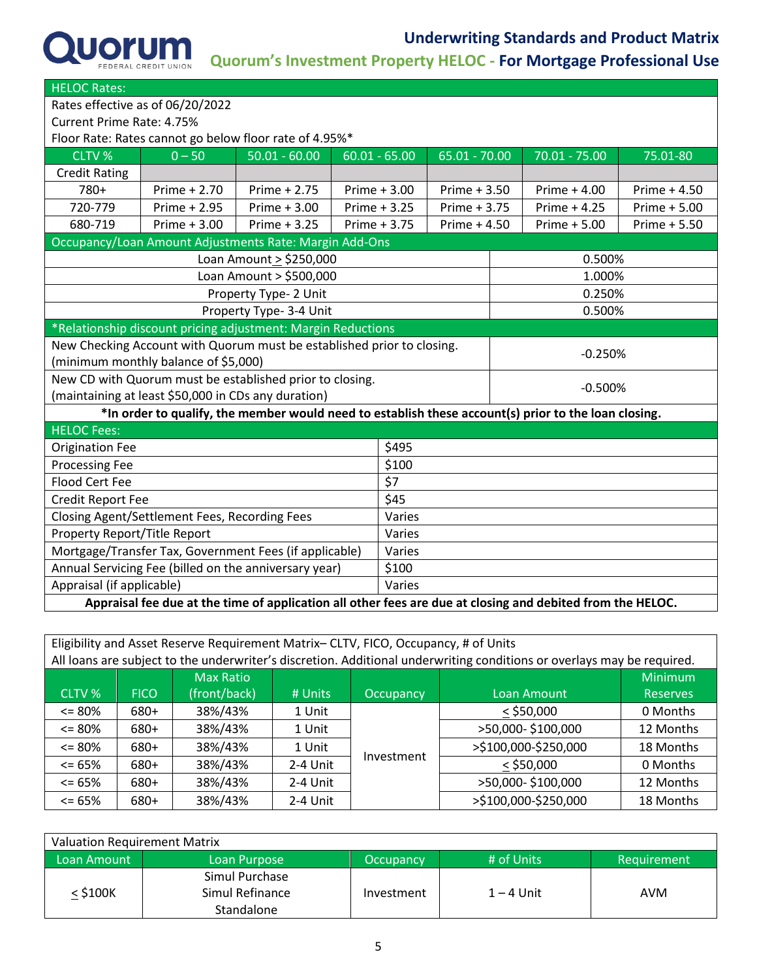

| <b>HELOC Rates:</b>                                                                                        |                                                                       |                         |        |                 |                 |  |                                                                                                      |                |  |
|------------------------------------------------------------------------------------------------------------|-----------------------------------------------------------------------|-------------------------|--------|-----------------|-----------------|--|------------------------------------------------------------------------------------------------------|----------------|--|
| Rates effective as of 06/20/2022                                                                           |                                                                       |                         |        |                 |                 |  |                                                                                                      |                |  |
| Current Prime Rate: 4.75%                                                                                  |                                                                       |                         |        |                 |                 |  |                                                                                                      |                |  |
| Floor Rate: Rates cannot go below floor rate of 4.95%*                                                     |                                                                       |                         |        |                 |                 |  |                                                                                                      |                |  |
| CLTV %                                                                                                     | $0 - 50$                                                              | $50.01 - 60.00$         |        | $60.01 - 65.00$ | $65.01 - 70.00$ |  | $70.01 - 75.00$                                                                                      | 75.01-80       |  |
| <b>Credit Rating</b>                                                                                       |                                                                       |                         |        |                 |                 |  |                                                                                                      |                |  |
| 780+                                                                                                       | Prime + 2.70                                                          | Prime + 2.75            |        | Prime + 3.00    | Prime + 3.50    |  | Prime $+4.00$                                                                                        | Prime $+4.50$  |  |
| 720-779                                                                                                    | Prime + 2.95                                                          | Prime + 3.00            |        | Prime + 3.25    | Prime + 3.75    |  | Prime $+4.25$                                                                                        | Prime $+ 5.00$ |  |
| 680-719                                                                                                    | Prime $+3.00$                                                         | Prime + 3.25            |        | Prime + 3.75    | Prime $+4.50$   |  | Prime + 5.00                                                                                         | Prime + 5.50   |  |
|                                                                                                            | Occupancy/Loan Amount Adjustments Rate: Margin Add-Ons                |                         |        |                 |                 |  |                                                                                                      |                |  |
|                                                                                                            | Loan Amount > \$250,000<br>0.500%                                     |                         |        |                 |                 |  |                                                                                                      |                |  |
|                                                                                                            |                                                                       | Loan Amount > \$500,000 |        |                 |                 |  | 1.000%                                                                                               |                |  |
|                                                                                                            |                                                                       | Property Type- 2 Unit   |        |                 |                 |  | 0.250%                                                                                               |                |  |
| Property Type- 3-4 Unit<br>0.500%                                                                          |                                                                       |                         |        |                 |                 |  |                                                                                                      |                |  |
| *Relationship discount pricing adjustment: Margin Reductions                                               |                                                                       |                         |        |                 |                 |  |                                                                                                      |                |  |
| New Checking Account with Quorum must be established prior to closing.<br>$-0.250%$                        |                                                                       |                         |        |                 |                 |  |                                                                                                      |                |  |
| (minimum monthly balance of \$5,000)                                                                       |                                                                       |                         |        |                 |                 |  |                                                                                                      |                |  |
|                                                                                                            | New CD with Quorum must be established prior to closing.<br>$-0.500%$ |                         |        |                 |                 |  |                                                                                                      |                |  |
|                                                                                                            | (maintaining at least \$50,000 in CDs any duration)                   |                         |        |                 |                 |  |                                                                                                      |                |  |
|                                                                                                            |                                                                       |                         |        |                 |                 |  | *In order to qualify, the member would need to establish these account(s) prior to the loan closing. |                |  |
| <b>HELOC Fees:</b>                                                                                         |                                                                       |                         |        |                 |                 |  |                                                                                                      |                |  |
| <b>Origination Fee</b>                                                                                     |                                                                       |                         |        | \$495           |                 |  |                                                                                                      |                |  |
| <b>Processing Fee</b>                                                                                      |                                                                       |                         |        | \$100           |                 |  |                                                                                                      |                |  |
| \$7<br><b>Flood Cert Fee</b>                                                                               |                                                                       |                         |        |                 |                 |  |                                                                                                      |                |  |
| Credit Report Fee                                                                                          |                                                                       |                         |        | \$45            |                 |  |                                                                                                      |                |  |
| Closing Agent/Settlement Fees, Recording Fees                                                              |                                                                       |                         | Varies |                 |                 |  |                                                                                                      |                |  |
| Property Report/Title Report                                                                               |                                                                       |                         | Varies |                 |                 |  |                                                                                                      |                |  |
| Mortgage/Transfer Tax, Government Fees (if applicable)                                                     |                                                                       |                         |        | Varies          |                 |  |                                                                                                      |                |  |
| Annual Servicing Fee (billed on the anniversary year)                                                      |                                                                       |                         |        | \$100           |                 |  |                                                                                                      |                |  |
| Appraisal (if applicable)                                                                                  |                                                                       |                         |        | Varies          |                 |  |                                                                                                      |                |  |
| Appraisal fee due at the time of application all other fees are due at closing and debited from the HELOC. |                                                                       |                         |        |                 |                 |  |                                                                                                      |                |  |

| Eligibility and Asset Reserve Requirement Matrix- CLTV, FICO, Occupancy, # of Units                                                                          |             |              |          |                  |                      |                 |  |  |
|--------------------------------------------------------------------------------------------------------------------------------------------------------------|-------------|--------------|----------|------------------|----------------------|-----------------|--|--|
| All loans are subject to the underwriter's discretion. Additional underwriting conditions or overlays may be required.<br><b>Minimum</b><br><b>Max Ratio</b> |             |              |          |                  |                      |                 |  |  |
| CLTV %                                                                                                                                                       | <b>FICO</b> | (front/back) | # Units  | <b>Occupancy</b> | Loan Amount          | <b>Reserves</b> |  |  |
| $\leq$ 80%                                                                                                                                                   | 680+        | 38%/43%      | 1 Unit   |                  | $<$ \$50,000         | 0 Months        |  |  |
| $\leq$ 80%                                                                                                                                                   | 680+        | 38%/43%      | 1 Unit   |                  | >50,000-\$100,000    | 12 Months       |  |  |
| $\leq$ 80%                                                                                                                                                   | 680+        | 38%/43%      | 1 Unit   |                  | >\$100,000-\$250,000 | 18 Months       |  |  |
| $\leq$ 65%                                                                                                                                                   | 680+        | 38%/43%      | 2-4 Unit | Investment       | $<$ \$50,000         | 0 Months        |  |  |
| $\leq$ 65%                                                                                                                                                   | 680+        | 38%/43%      | 2-4 Unit |                  | >50,000-\$100,000    | 12 Months       |  |  |
| $\leq$ 65%                                                                                                                                                   | 680+        | 38%/43%      | 2-4 Unit |                  | >\$100,000-\$250,000 | 18 Months       |  |  |

| Valuation Requirement Matrix |                 |                  |              |             |  |  |  |
|------------------------------|-----------------|------------------|--------------|-------------|--|--|--|
| Loan Amount                  | Loan Purpose    | <b>Occupancy</b> | # of Units   | Requirement |  |  |  |
|                              | Simul Purchase  |                  |              |             |  |  |  |
| $<$ \$100K                   | Simul Refinance | Investment       | $1 - 4$ Unit | AVM         |  |  |  |
|                              | Standalone      |                  |              |             |  |  |  |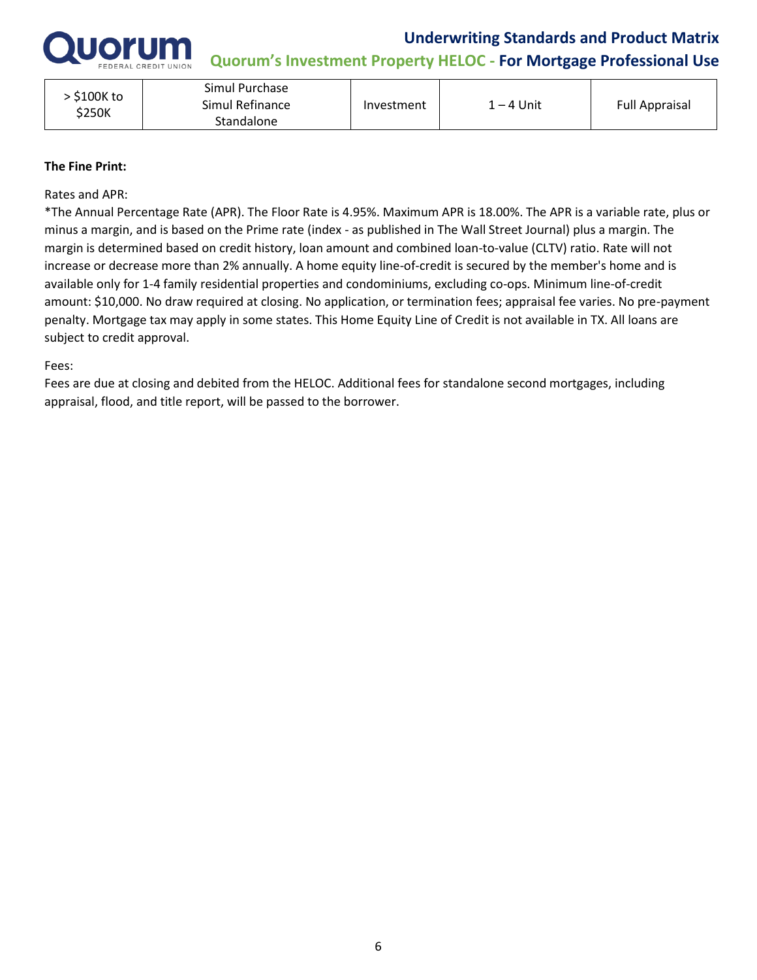

**Quorum's Investment Property HELOC - For Mortgage Professional Use** 

| \$100K to<br>\$250K | Simul Purchase<br>Simul Refinance<br>Standalone | Investment | 1 – 4 Unit | <b>Full Appraisal</b> |
|---------------------|-------------------------------------------------|------------|------------|-----------------------|
|                     |                                                 |            |            |                       |

#### **The Fine Print:**

Rates and APR:

\*The Annual Percentage Rate (APR). The Floor Rate is 4.95%. Maximum APR is 18.00%. The APR is a variable rate, plus or minus a margin, and is based on the Prime rate (index - as published in The Wall Street Journal) plus a margin. The margin is determined based on credit history, loan amount and combined loan-to-value (CLTV) ratio. Rate will not increase or decrease more than 2% annually. A home equity line-of-credit is secured by the member's home and is available only for 1-4 family residential properties and condominiums, excluding co-ops. Minimum line-of-credit amount: \$10,000. No draw required at closing. No application, or termination fees; appraisal fee varies. No pre-payment penalty. Mortgage tax may apply in some states. This Home Equity Line of Credit is not available in TX. All loans are subject to credit approval.

#### Fees:

Fees are due at closing and debited from the HELOC. Additional fees for standalone second mortgages, including appraisal, flood, and title report, will be passed to the borrower.